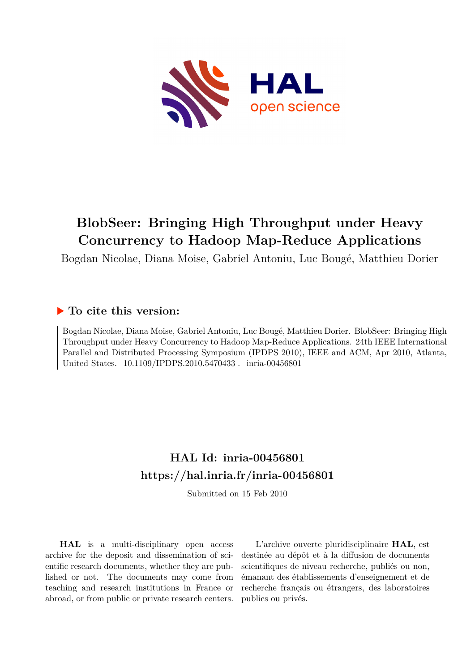

## **BlobSeer: Bringing High Throughput under Heavy Concurrency to Hadoop Map-Reduce Applications**

Bogdan Nicolae, Diana Moise, Gabriel Antoniu, Luc Bougé, Matthieu Dorier

### **To cite this version:**

Bogdan Nicolae, Diana Moise, Gabriel Antoniu, Luc Bougé, Matthieu Dorier. BlobSeer: Bringing High Throughput under Heavy Concurrency to Hadoop Map-Reduce Applications. 24th IEEE International Parallel and Distributed Processing Symposium (IPDPS 2010), IEEE and ACM, Apr 2010, Atlanta, United States. 10.1109/IPDPS.2010.5470433. inria-00456801

## **HAL Id: inria-00456801 <https://hal.inria.fr/inria-00456801>**

Submitted on 15 Feb 2010

**HAL** is a multi-disciplinary open access archive for the deposit and dissemination of scientific research documents, whether they are published or not. The documents may come from teaching and research institutions in France or abroad, or from public or private research centers.

L'archive ouverte pluridisciplinaire **HAL**, est destinée au dépôt et à la diffusion de documents scientifiques de niveau recherche, publiés ou non, émanant des établissements d'enseignement et de recherche français ou étrangers, des laboratoires publics ou privés.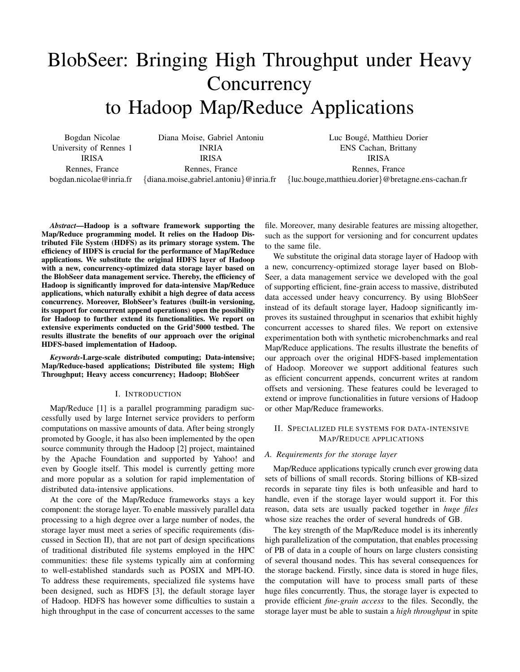# BlobSeer: Bringing High Throughput under Heavy **Concurrency** to Hadoop Map/Reduce Applications

Bogdan Nicolae University of Rennes 1 IRISA Rennes, France bogdan.nicolae@inria.fr

Diana Moise, Gabriel Antoniu INRIA IRISA Rennes, France *{*diana.moise,gabriel.antoniu*}*@inria.fr

Luc Bougé, Matthieu Dorier ENS Cachan, Brittany IRISA Rennes, France *{*luc.bouge,matthieu.dorier*}*@bretagne.ens-cachan.fr

*Abstract***—Hadoop is a software framework supporting the Map/Reduce programming model. It relies on the Hadoop Distributed File System (HDFS) as its primary storage system. The efficiency of HDFS is crucial for the performance of Map/Reduce applications. We substitute the original HDFS layer of Hadoop with a new, concurrency-optimized data storage layer based on the BlobSeer data management service. Thereby, the efficiency of Hadoop is significantly improved for data-intensive Map/Reduce applications, which naturally exhibit a high degree of data access concurrency. Moreover, BlobSeer's features (built-in versioning, its support for concurrent append operations) open the possibility for Hadoop to further extend its functionalities. We report on extensive experiments conducted on the Grid'5000 testbed. The results illustrate the benefits of our approach over the original HDFS-based implementation of Hadoop.**

*Keywords***-Large-scale distributed computing; Data-intensive; Map/Reduce-based applications; Distributed file system; High Throughput; Heavy access concurrency; Hadoop; BlobSeer**

#### I. INTRODUCTION

Map/Reduce [1] is a parallel programming paradigm successfully used by large Internet service providers to perform computations on massive amounts of data. After being strongly promoted by Google, it has also been implemented by the open source community through the Hadoop [2] project, maintained by the Apache Foundation and supported by Yahoo! and even by Google itself. This model is currently getting more and more popular as a solution for rapid implementation of distributed data-intensive applications.

At the core of the Map/Reduce frameworks stays a key component: the storage layer. To enable massively parallel data processing to a high degree over a large number of nodes, the storage layer must meet a series of specific requirements (discussed in Section II), that are not part of design specifications of traditional distributed file systems employed in the HPC communities: these file systems typically aim at conforming to well-established standards such as POSIX and MPI-IO. To address these requirements, specialized file systems have been designed, such as HDFS [3], the default storage layer of Hadoop. HDFS has however some difficulties to sustain a high throughput in the case of concurrent accesses to the same

file. Moreover, many desirable features are missing altogether, such as the support for versioning and for concurrent updates to the same file.

We substitute the original data storage layer of Hadoop with a new, concurrency-optimized storage layer based on Blob-Seer, a data management service we developed with the goal of supporting efficient, fine-grain access to massive, distributed data accessed under heavy concurrency. By using BlobSeer instead of its default storage layer, Hadoop significantly improves its sustained throughput in scenarios that exhibit highly concurrent accesses to shared files. We report on extensive experimentation both with synthetic microbenchmarks and real Map/Reduce applications. The results illustrate the benefits of our approach over the original HDFS-based implementation of Hadoop. Moreover we support additional features such as efficient concurrent appends, concurrent writes at random offsets and versioning. These features could be leveraged to extend or improve functionalities in future versions of Hadoop or other Map/Reduce frameworks.

#### II. SPECIALIZED FILE SYSTEMS FOR DATA-INTENSIVE MAP/REDUCE APPLICATIONS

#### *A. Requirements for the storage layer*

Map/Reduce applications typically crunch ever growing data sets of billions of small records. Storing billions of KB-sized records in separate tiny files is both unfeasible and hard to handle, even if the storage layer would support it. For this reason, data sets are usually packed together in *huge files* whose size reaches the order of several hundreds of GB.

The key strength of the Map/Reduce model is its inherently high parallelization of the computation, that enables processing of PB of data in a couple of hours on large clusters consisting of several thousand nodes. This has several consequences for the storage backend. Firstly, since data is stored in huge files, the computation will have to process small parts of these huge files concurrently. Thus, the storage layer is expected to provide efficient *fine-grain access* to the files. Secondly, the storage layer must be able to sustain a *high throughput* in spite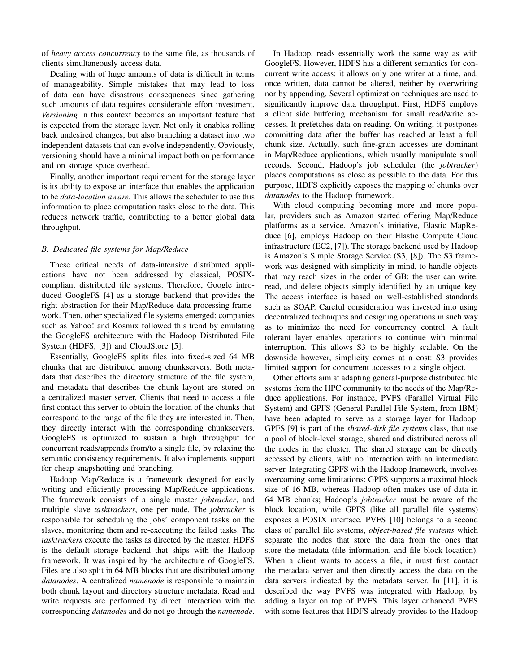of *heavy access concurrency* to the same file, as thousands of clients simultaneously access data.

Dealing with of huge amounts of data is difficult in terms of manageability. Simple mistakes that may lead to loss of data can have disastrous consequences since gathering such amounts of data requires considerable effort investment. *Versioning* in this context becomes an important feature that is expected from the storage layer. Not only it enables rolling back undesired changes, but also branching a dataset into two independent datasets that can evolve independently. Obviously, versioning should have a minimal impact both on performance and on storage space overhead.

Finally, another important requirement for the storage layer is its ability to expose an interface that enables the application to be *data-location aware*. This allows the scheduler to use this information to place computation tasks close to the data. This reduces network traffic, contributing to a better global data throughput.

#### *B. Dedicated file systems for Map/Reduce*

These critical needs of data-intensive distributed applications have not been addressed by classical, POSIXcompliant distributed file systems. Therefore, Google introduced GoogleFS [4] as a storage backend that provides the right abstraction for their Map/Reduce data processing framework. Then, other specialized file systems emerged: companies such as Yahoo! and Kosmix followed this trend by emulating the GoogleFS architecture with the Hadoop Distributed File System (HDFS, [3]) and CloudStore [5].

Essentially, GoogleFS splits files into fixed-sized 64 MB chunks that are distributed among chunkservers. Both metadata that describes the directory structure of the file system, and metadata that describes the chunk layout are stored on a centralized master server. Clients that need to access a file first contact this server to obtain the location of the chunks that correspond to the range of the file they are interested in. Then, they directly interact with the corresponding chunkservers. GoogleFS is optimized to sustain a high throughput for concurrent reads/appends from/to a single file, by relaxing the semantic consistency requirements. It also implements support for cheap snapshotting and branching.

Hadoop Map/Reduce is a framework designed for easily writing and efficiently processing Map/Reduce applications. The framework consists of a single master *jobtracker*, and multiple slave *tasktrackers*, one per node. The *jobtracker* is responsible for scheduling the jobs' component tasks on the slaves, monitoring them and re-executing the failed tasks. The *tasktrackers* execute the tasks as directed by the master. HDFS is the default storage backend that ships with the Hadoop framework. It was inspired by the architecture of GoogleFS. Files are also split in 64 MB blocks that are distributed among *datanodes*. A centralized *namenode* is responsible to maintain both chunk layout and directory structure metadata. Read and write requests are performed by direct interaction with the corresponding *datanodes* and do not go through the *namenode*.

In Hadoop, reads essentially work the same way as with GoogleFS. However, HDFS has a different semantics for concurrent write access: it allows only one writer at a time, and, once written, data cannot be altered, neither by overwriting nor by appending. Several optimization techniques are used to significantly improve data throughput. First, HDFS employs a client side buffering mechanism for small read/write accesses. It prefetches data on reading. On writing, it postpones committing data after the buffer has reached at least a full chunk size. Actually, such fine-grain accesses are dominant in Map/Reduce applications, which usually manipulate small records. Second, Hadoop's job scheduler (the *jobtracker*) places computations as close as possible to the data. For this purpose, HDFS explicitly exposes the mapping of chunks over *datanodes* to the Hadoop framework.

With cloud computing becoming more and more popular, providers such as Amazon started offering Map/Reduce platforms as a service. Amazon's initiative, Elastic MapReduce [6], employs Hadoop on their Elastic Compute Cloud infrastructure (EC2, [7]). The storage backend used by Hadoop is Amazon's Simple Storage Service (S3, [8]). The S3 framework was designed with simplicity in mind, to handle objects that may reach sizes in the order of GB: the user can write, read, and delete objects simply identified by an unique key. The access interface is based on well-established standards such as SOAP. Careful consideration was invested into using decentralized techniques and designing operations in such way as to minimize the need for concurrency control. A fault tolerant layer enables operations to continue with minimal interruption. This allows S3 to be highly scalable. On the downside however, simplicity comes at a cost: S3 provides limited support for concurrent accesses to a single object.

Other efforts aim at adapting general-purpose distributed file systems from the HPC community to the needs of the Map/Reduce applications. For instance, PVFS (Parallel Virtual File System) and GPFS (General Parallel File System, from IBM) have been adapted to serve as a storage layer for Hadoop. GPFS [9] is part of the *shared-disk file systems* class, that use a pool of block-level storage, shared and distributed across all the nodes in the cluster. The shared storage can be directly accessed by clients, with no interaction with an intermediate server. Integrating GPFS with the Hadoop framework, involves overcoming some limitations: GPFS supports a maximal block size of 16 MB, whereas Hadoop often makes use of data in 64 MB chunks; Hadoop's *jobtracker* must be aware of the block location, while GPFS (like all parallel file systems) exposes a POSIX interface. PVFS [10] belongs to a second class of parallel file systems, *object-based file systems* which separate the nodes that store the data from the ones that store the metadata (file information, and file block location). When a client wants to access a file, it must first contact the metadata server and then directly access the data on the data servers indicated by the metadata server. In [11], it is described the way PVFS was integrated with Hadoop, by adding a layer on top of PVFS. This layer enhanced PVFS with some features that HDFS already provides to the Hadoop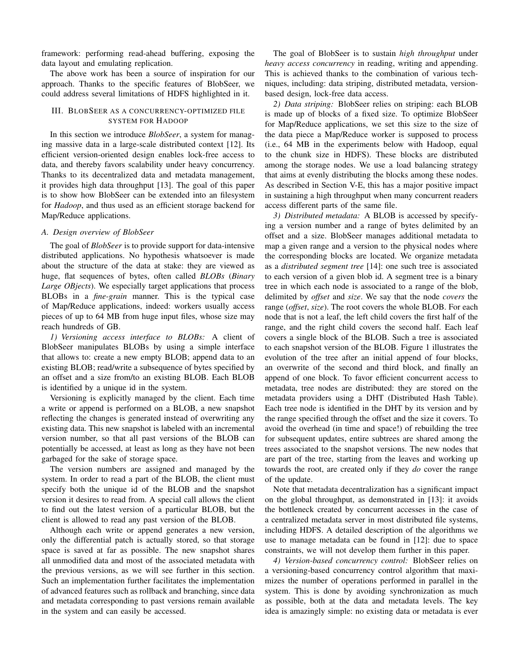framework: performing read-ahead buffering, exposing the data layout and emulating replication.

The above work has been a source of inspiration for our approach. Thanks to the specific features of BlobSeer, we could address several limitations of HDFS highlighted in it.

#### III. BLOBSEER AS A CONCURRENCY-OPTIMIZED FILE SYSTEM FOR HADOOP

In this section we introduce *BlobSeer*, a system for managing massive data in a large-scale distributed context [12]. Its efficient version-oriented design enables lock-free access to data, and thereby favors scalability under heavy concurrency. Thanks to its decentralized data and metadata management, it provides high data throughput [13]. The goal of this paper is to show how BlobSeer can be extended into an filesystem for *Hadoop*, and thus used as an efficient storage backend for Map/Reduce applications.

#### *A. Design overview of BlobSeer*

The goal of *BlobSeer* is to provide support for data-intensive distributed applications. No hypothesis whatsoever is made about the structure of the data at stake: they are viewed as huge, flat sequences of bytes, often called *BLOBs* (*Binary Large OBjects*). We especially target applications that process BLOBs in a *fine-grain* manner. This is the typical case of Map/Reduce applications, indeed: workers usually access pieces of up to 64 MB from huge input files, whose size may reach hundreds of GB.

*1) Versioning access interface to BLOBs:* A client of BlobSeer manipulates BLOBs by using a simple interface that allows to: create a new empty BLOB; append data to an existing BLOB; read/write a subsequence of bytes specified by an offset and a size from/to an existing BLOB. Each BLOB is identified by a unique id in the system.

Versioning is explicitly managed by the client. Each time a write or append is performed on a BLOB, a new snapshot reflecting the changes is generated instead of overwriting any existing data. This new snapshot is labeled with an incremental version number, so that all past versions of the BLOB can potentially be accessed, at least as long as they have not been garbaged for the sake of storage space.

The version numbers are assigned and managed by the system. In order to read a part of the BLOB, the client must specify both the unique id of the BLOB and the snapshot version it desires to read from. A special call allows the client to find out the latest version of a particular BLOB, but the client is allowed to read any past version of the BLOB.

Although each write or append generates a new version, only the differential patch is actually stored, so that storage space is saved at far as possible. The new snapshot shares all unmodified data and most of the associated metadata with the previous versions, as we will see further in this section. Such an implementation further facilitates the implementation of advanced features such as rollback and branching, since data and metadata corresponding to past versions remain available in the system and can easily be accessed.

The goal of BlobSeer is to sustain *high throughput* under *heavy access concurrency* in reading, writing and appending. This is achieved thanks to the combination of various techniques, including: data striping, distributed metadata, versionbased design, lock-free data access.

*2) Data striping:* BlobSeer relies on striping: each BLOB is made up of blocks of a fixed size. To optimize BlobSeer for Map/Reduce applications, we set this size to the size of the data piece a Map/Reduce worker is supposed to process (i.e., 64 MB in the experiments below with Hadoop, equal to the chunk size in HDFS). These blocks are distributed among the storage nodes. We use a load balancing strategy that aims at evenly distributing the blocks among these nodes. As described in Section V-E, this has a major positive impact in sustaining a high throughput when many concurrent readers access different parts of the same file.

*3) Distributed metadata:* A BLOB is accessed by specifying a version number and a range of bytes delimited by an offset and a size. BlobSeer manages additional metadata to map a given range and a version to the physical nodes where the corresponding blocks are located. We organize metadata as a *distributed segment tree* [14]: one such tree is associated to each version of a given blob id. A segment tree is a binary tree in which each node is associated to a range of the blob, delimited by *offset* and *size*. We say that the node *covers* the range (*offset*, *size*). The root covers the whole BLOB. For each node that is not a leaf, the left child covers the first half of the range, and the right child covers the second half. Each leaf covers a single block of the BLOB. Such a tree is associated to each snapshot version of the BLOB. Figure 1 illustrates the evolution of the tree after an initial append of four blocks, an overwrite of the second and third block, and finally an append of one block. To favor efficient concurrent access to metadata, tree nodes are distributed: they are stored on the metadata providers using a DHT (Distributed Hash Table). Each tree node is identified in the DHT by its version and by the range specified through the offset and the size it covers. To avoid the overhead (in time and space!) of rebuilding the tree for subsequent updates, entire subtrees are shared among the trees associated to the snapshot versions. The new nodes that are part of the tree, starting from the leaves and working up towards the root, are created only if they *do* cover the range of the update.

Note that metadata decentralization has a significant impact on the global throughput, as demonstrated in [13]: it avoids the bottleneck created by concurrent accesses in the case of a centralized metadata server in most distributed file systems, including HDFS. A detailed description of the algorithms we use to manage metadata can be found in [12]: due to space constraints, we will not develop them further in this paper.

*4) Version-based concurrency control:* BlobSeer relies on a versioning-based concurrency control algorithm that maximizes the number of operations performed in parallel in the system. This is done by avoiding synchronization as much as possible, both at the data and metadata levels. The key idea is amazingly simple: no existing data or metadata is ever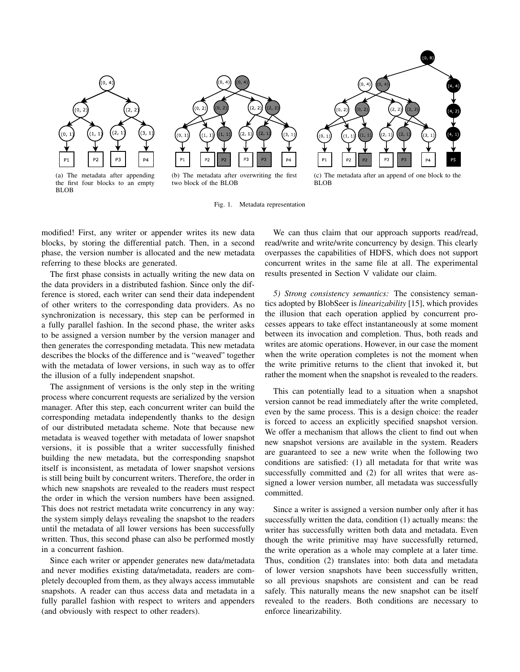



(a) The metadata after appending the first four blocks to an empty BLOB

(b) The metadata after overwriting the first two block of the BLOB

(c) The metadata after an append of one block to the BLOB

Fig. 1. Metadata representation

modified! First, any writer or appender writes its new data blocks, by storing the differential patch. Then, in a second phase, the version number is allocated and the new metadata referring to these blocks are generated.

The first phase consists in actually writing the new data on the data providers in a distributed fashion. Since only the difference is stored, each writer can send their data independent of other writers to the corresponding data providers. As no synchronization is necessary, this step can be performed in a fully parallel fashion. In the second phase, the writer asks to be assigned a version number by the version manager and then generates the corresponding metadata. This new metadata describes the blocks of the difference and is "weaved" together with the metadata of lower versions, in such way as to offer the illusion of a fully independent snapshot.

The assignment of versions is the only step in the writing process where concurrent requests are serialized by the version manager. After this step, each concurrent writer can build the corresponding metadata independently thanks to the design of our distributed metadata scheme. Note that because new metadata is weaved together with metadata of lower snapshot versions, it is possible that a writer successfully finished building the new metadata, but the corresponding snapshot itself is inconsistent, as metadata of lower snapshot versions is still being built by concurrent writers. Therefore, the order in which new snapshots are revealed to the readers must respect the order in which the version numbers have been assigned. This does not restrict metadata write concurrency in any way: the system simply delays revealing the snapshot to the readers until the metadata of all lower versions has been successfully written. Thus, this second phase can also be performed mostly in a concurrent fashion.

Since each writer or appender generates new data/metadata and never modifies existing data/metadata, readers are completely decoupled from them, as they always access immutable snapshots. A reader can thus access data and metadata in a fully parallel fashion with respect to writers and appenders (and obviously with respect to other readers).

We can thus claim that our approach supports read/read, read/write and write/write concurrency by design. This clearly overpasses the capabilities of HDFS, which does not support concurrent writes in the same file at all. The experimental results presented in Section V validate our claim.

*5) Strong consistency semantics:* The consistency semantics adopted by BlobSeer is *linearizability* [15], which provides the illusion that each operation applied by concurrent processes appears to take effect instantaneously at some moment between its invocation and completion. Thus, both reads and writes are atomic operations. However, in our case the moment when the write operation completes is not the moment when the write primitive returns to the client that invoked it, but rather the moment when the snapshot is revealed to the readers.

This can potentially lead to a situation when a snapshot version cannot be read immediately after the write completed, even by the same process. This is a design choice: the reader is forced to access an explicitly specified snapshot version. We offer a mechanism that allows the client to find out when new snapshot versions are available in the system. Readers are guaranteed to see a new write when the following two conditions are satisfied: (1) all metadata for that write was successfully committed and (2) for all writes that were assigned a lower version number, all metadata was successfully committed.

Since a writer is assigned a version number only after it has successfully written the data, condition (1) actually means: the writer has successfully written both data and metadata. Even though the write primitive may have successfully returned, the write operation as a whole may complete at a later time. Thus, condition (2) translates into: both data and metadata of lower version snapshots have been successfully written, so all previous snapshots are consistent and can be read safely. This naturally means the new snapshot can be itself revealed to the readers. Both conditions are necessary to enforce linearizability.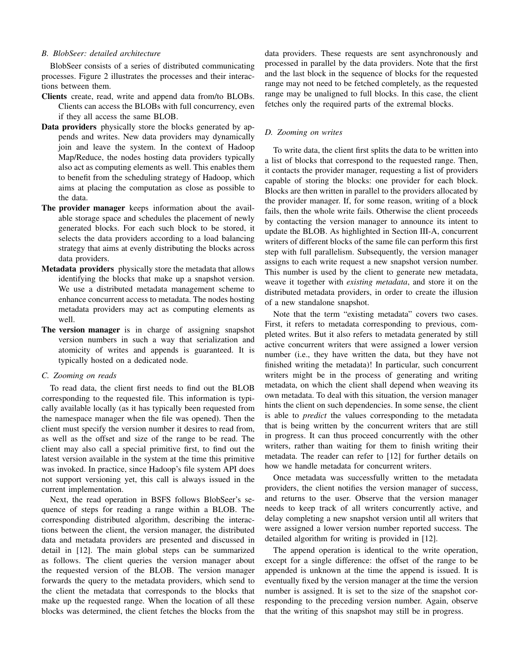#### *B. BlobSeer: detailed architecture*

BlobSeer consists of a series of distributed communicating processes. Figure 2 illustrates the processes and their interactions between them.

- **Clients** create, read, write and append data from/to BLOBs. Clients can access the BLOBs with full concurrency, even if they all access the same BLOB.
- **Data providers** physically store the blocks generated by appends and writes. New data providers may dynamically join and leave the system. In the context of Hadoop Map/Reduce, the nodes hosting data providers typically also act as computing elements as well. This enables them to benefit from the scheduling strategy of Hadoop, which aims at placing the computation as close as possible to the data.
- **The provider manager** keeps information about the available storage space and schedules the placement of newly generated blocks. For each such block to be stored, it selects the data providers according to a load balancing strategy that aims at evenly distributing the blocks across data providers.
- **Metadata providers** physically store the metadata that allows identifying the blocks that make up a snapshot version. We use a distributed metadata management scheme to enhance concurrent access to metadata. The nodes hosting metadata providers may act as computing elements as well.
- **The version manager** is in charge of assigning snapshot version numbers in such a way that serialization and atomicity of writes and appends is guaranteed. It is typically hosted on a dedicated node.

#### *C. Zooming on reads*

To read data, the client first needs to find out the BLOB corresponding to the requested file. This information is typically available locally (as it has typically been requested from the namespace manager when the file was opened). Then the client must specify the version number it desires to read from, as well as the offset and size of the range to be read. The client may also call a special primitive first, to find out the latest version available in the system at the time this primitive was invoked. In practice, since Hadoop's file system API does not support versioning yet, this call is always issued in the current implementation.

Next, the read operation in BSFS follows BlobSeer's sequence of steps for reading a range within a BLOB. The corresponding distributed algorithm, describing the interactions between the client, the version manager, the distributed data and metadata providers are presented and discussed in detail in [12]. The main global steps can be summarized as follows. The client queries the version manager about the requested version of the BLOB. The version manager forwards the query to the metadata providers, which send to the client the metadata that corresponds to the blocks that make up the requested range. When the location of all these blocks was determined, the client fetches the blocks from the

data providers. These requests are sent asynchronously and processed in parallel by the data providers. Note that the first and the last block in the sequence of blocks for the requested range may not need to be fetched completely, as the requested range may be unaligned to full blocks. In this case, the client fetches only the required parts of the extremal blocks.

#### *D. Zooming on writes*

To write data, the client first splits the data to be written into a list of blocks that correspond to the requested range. Then, it contacts the provider manager, requesting a list of providers capable of storing the blocks: one provider for each block. Blocks are then written in parallel to the providers allocated by the provider manager. If, for some reason, writing of a block fails, then the whole write fails. Otherwise the client proceeds by contacting the version manager to announce its intent to update the BLOB. As highlighted in Section III-A, concurrent writers of different blocks of the same file can perform this first step with full parallelism. Subsequently, the version manager assigns to each write request a new snapshot version number. This number is used by the client to generate new metadata, weave it together with *existing metadata*, and store it on the distributed metadata providers, in order to create the illusion of a new standalone snapshot.

Note that the term "existing metadata" covers two cases. First, it refers to metadata corresponding to previous, completed writes. But it also refers to metadata generated by still active concurrent writers that were assigned a lower version number (i.e., they have written the data, but they have not finished writing the metadata)! In particular, such concurrent writers might be in the process of generating and writing metadata, on which the client shall depend when weaving its own metadata. To deal with this situation, the version manager hints the client on such dependencies. In some sense, the client is able to *predict* the values corresponding to the metadata that is being written by the concurrent writers that are still in progress. It can thus proceed concurrently with the other writers, rather than waiting for them to finish writing their metadata. The reader can refer to [12] for further details on how we handle metadata for concurrent writers.

Once metadata was successfully written to the metadata providers, the client notifies the version manager of success, and returns to the user. Observe that the version manager needs to keep track of all writers concurrently active, and delay completing a new snapshot version until all writers that were assigned a lower version number reported success. The detailed algorithm for writing is provided in [12].

The append operation is identical to the write operation, except for a single difference: the offset of the range to be appended is unknown at the time the append is issued. It is eventually fixed by the version manager at the time the version number is assigned. It is set to the size of the snapshot corresponding to the preceding version number. Again, observe that the writing of this snapshot may still be in progress.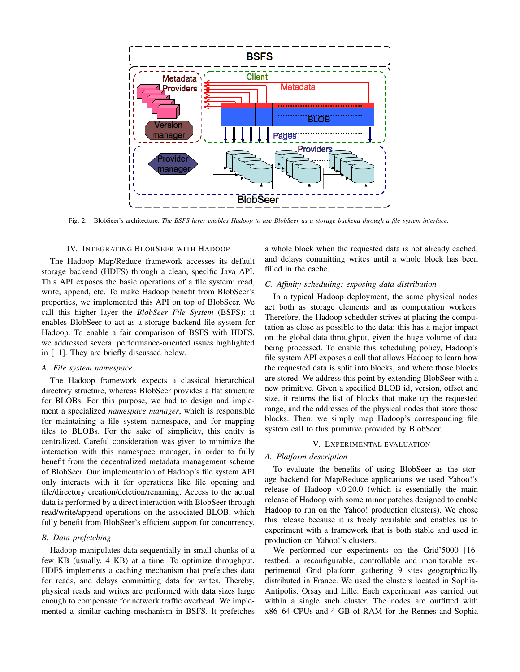

Fig. 2. BlobSeer's architecture. *The BSFS layer enables Hadoop to use BlobSeer as a storage backend through a file system interface.*

#### IV. INTEGRATING BLOBSEER WITH HADOOP

The Hadoop Map/Reduce framework accesses its default storage backend (HDFS) through a clean, specific Java API. This API exposes the basic operations of a file system: read, write, append, etc. To make Hadoop benefit from BlobSeer's properties, we implemented this API on top of BlobSeer. We call this higher layer the *BlobSeer File System* (BSFS): it enables BlobSeer to act as a storage backend file system for Hadoop. To enable a fair comparison of BSFS with HDFS, we addressed several performance-oriented issues highlighted in [11]. They are briefly discussed below.

#### *A. File system namespace*

The Hadoop framework expects a classical hierarchical directory structure, whereas BlobSeer provides a flat structure for BLOBs. For this purpose, we had to design and implement a specialized *namespace manager*, which is responsible for maintaining a file system namespace, and for mapping files to BLOBs. For the sake of simplicity, this entity is centralized. Careful consideration was given to minimize the interaction with this namespace manager, in order to fully benefit from the decentralized metadata management scheme of BlobSeer. Our implementation of Hadoop's file system API only interacts with it for operations like file opening and file/directory creation/deletion/renaming. Access to the actual data is performed by a direct interaction with BlobSeer through read/write/append operations on the associated BLOB, which fully benefit from BlobSeer's efficient support for concurrency.

#### *B. Data prefetching*

Hadoop manipulates data sequentially in small chunks of a few KB (usually, 4 KB) at a time. To optimize throughput, HDFS implements a caching mechanism that prefetches data for reads, and delays committing data for writes. Thereby, physical reads and writes are performed with data sizes large enough to compensate for network traffic overhead. We implemented a similar caching mechanism in BSFS. It prefetches a whole block when the requested data is not already cached, and delays committing writes until a whole block has been filled in the cache.

#### *C. Affinity scheduling: exposing data distribution*

In a typical Hadoop deployment, the same physical nodes act both as storage elements and as computation workers. Therefore, the Hadoop scheduler strives at placing the computation as close as possible to the data: this has a major impact on the global data throughput, given the huge volume of data being processed. To enable this scheduling policy, Hadoop's file system API exposes a call that allows Hadoop to learn how the requested data is split into blocks, and where those blocks are stored. We address this point by extending BlobSeer with a new primitive. Given a specified BLOB id, version, offset and size, it returns the list of blocks that make up the requested range, and the addresses of the physical nodes that store those blocks. Then, we simply map Hadoop's corresponding file system call to this primitive provided by BlobSeer.

#### V. EXPERIMENTAL EVALUATION

#### *A. Platform description*

To evaluate the benefits of using BlobSeer as the storage backend for Map/Reduce applications we used Yahoo!'s release of Hadoop v.0.20.0 (which is essentially the main release of Hadoop with some minor patches designed to enable Hadoop to run on the Yahoo! production clusters). We chose this release because it is freely available and enables us to experiment with a framework that is both stable and used in production on Yahoo!'s clusters.

We performed our experiments on the Grid'5000 [16] testbed, a reconfigurable, controllable and monitorable experimental Grid platform gathering 9 sites geographically distributed in France. We used the clusters located in Sophia-Antipolis, Orsay and Lille. Each experiment was carried out within a single such cluster. The nodes are outfitted with x86 64 CPUs and 4 GB of RAM for the Rennes and Sophia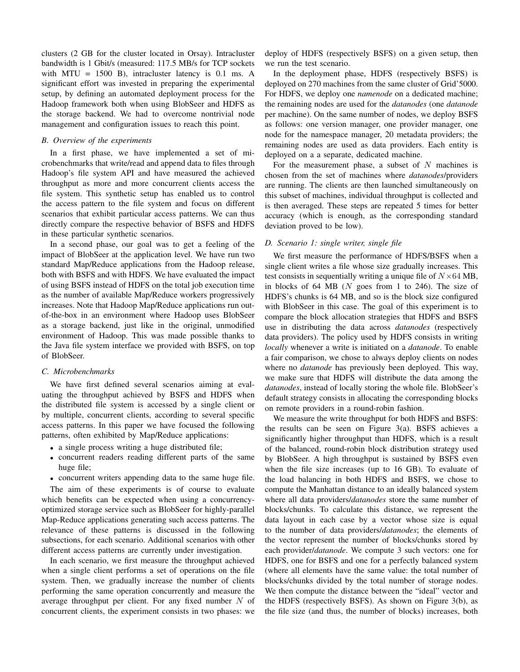clusters (2 GB for the cluster located in Orsay). Intracluster bandwidth is 1 Gbit/s (measured: 117.5 MB/s for TCP sockets with  $MTU = 1500$  B), intracluster latency is 0.1 ms. A significant effort was invested in preparing the experimental setup, by defining an automated deployment process for the Hadoop framework both when using BlobSeer and HDFS as the storage backend. We had to overcome nontrivial node management and configuration issues to reach this point.

#### *B. Overview of the experiments*

In a first phase, we have implemented a set of microbenchmarks that write/read and append data to files through Hadoop's file system API and have measured the achieved throughput as more and more concurrent clients access the file system. This synthetic setup has enabled us to control the access pattern to the file system and focus on different scenarios that exhibit particular access patterns. We can thus directly compare the respective behavior of BSFS and HDFS in these particular synthetic scenarios.

In a second phase, our goal was to get a feeling of the impact of BlobSeer at the application level. We have run two standard Map/Reduce applications from the Hadoop release, both with BSFS and with HDFS. We have evaluated the impact of using BSFS instead of HDFS on the total job execution time as the number of available Map/Reduce workers progressively increases. Note that Hadoop Map/Reduce applications run outof-the-box in an environment where Hadoop uses BlobSeer as a storage backend, just like in the original, unmodified environment of Hadoop. This was made possible thanks to the Java file system interface we provided with BSFS, on top of BlobSeer.

#### *C. Microbenchmarks*

We have first defined several scenarios aiming at evaluating the throughput achieved by BSFS and HDFS when the distributed file system is accessed by a single client or by multiple, concurrent clients, according to several specific access patterns. In this paper we have focused the following patterns, often exhibited by Map/Reduce applications:

- *•* a single process writing a huge distributed file;
- *•* concurrent readers reading different parts of the same huge file;
- *•* concurrent writers appending data to the same huge file.

The aim of these experiments is of course to evaluate which benefits can be expected when using a concurrencyoptimized storage service such as BlobSeer for highly-parallel Map-Reduce applications generating such access patterns. The relevance of these patterns is discussed in the following subsections, for each scenario. Additional scenarios with other different access patterns are currently under investigation.

In each scenario, we first measure the throughput achieved when a single client performs a set of operations on the file system. Then, we gradually increase the number of clients performing the same operation concurrently and measure the average throughput per client. For any fixed number *N* of concurrent clients, the experiment consists in two phases: we deploy of HDFS (respectively BSFS) on a given setup, then we run the test scenario.

In the deployment phase, HDFS (respectively BSFS) is deployed on 270 machines from the same cluster of Grid'5000. For HDFS, we deploy one *namenode* on a dedicated machine; the remaining nodes are used for the *datanodes* (one *datanode* per machine). On the same number of nodes, we deploy BSFS as follows: one version manager, one provider manager, one node for the namespace manager, 20 metadata providers; the remaining nodes are used as data providers. Each entity is deployed on a a separate, dedicated machine.

For the measurement phase, a subset of *N* machines is chosen from the set of machines where *datanodes*/providers are running. The clients are then launched simultaneously on this subset of machines, individual throughput is collected and is then averaged. These steps are repeated 5 times for better accuracy (which is enough, as the corresponding standard deviation proved to be low).

#### *D. Scenario 1: single writer, single file*

We first measure the performance of HDFS/BSFS when a single client writes a file whose size gradually increases. This test consists in sequentially writing a unique file of *N×*64 MB, in blocks of 64 MB (*N* goes from 1 to 246). The size of HDFS's chunks is 64 MB, and so is the block size configured with BlobSeer in this case. The goal of this experiment is to compare the block allocation strategies that HDFS and BSFS use in distributing the data across *datanodes* (respectively data providers). The policy used by HDFS consists in writing *locally* whenever a write is initiated on a *datanode*. To enable a fair comparison, we chose to always deploy clients on nodes where no *datanode* has previously been deployed. This way, we make sure that HDFS will distribute the data among the *datanodes*, instead of locally storing the whole file. BlobSeer's default strategy consists in allocating the corresponding blocks on remote providers in a round-robin fashion.

We measure the write throughput for both HDFS and BSFS: the results can be seen on Figure 3(a). BSFS achieves a significantly higher throughput than HDFS, which is a result of the balanced, round-robin block distribution strategy used by BlobSeer. A high throughput is sustained by BSFS even when the file size increases (up to 16 GB). To evaluate of the load balancing in both HDFS and BSFS, we chose to compute the Manhattan distance to an ideally balanced system where all data providers/*datanodes* store the same number of blocks/chunks. To calculate this distance, we represent the data layout in each case by a vector whose size is equal to the number of data providers/*datanodes*; the elements of the vector represent the number of blocks/chunks stored by each provider/*datanode*. We compute 3 such vectors: one for HDFS, one for BSFS and one for a perfectly balanced system (where all elements have the same value: the total number of blocks/chunks divided by the total number of storage nodes. We then compute the distance between the "ideal" vector and the HDFS (respectively BSFS). As shown on Figure 3(b), as the file size (and thus, the number of blocks) increases, both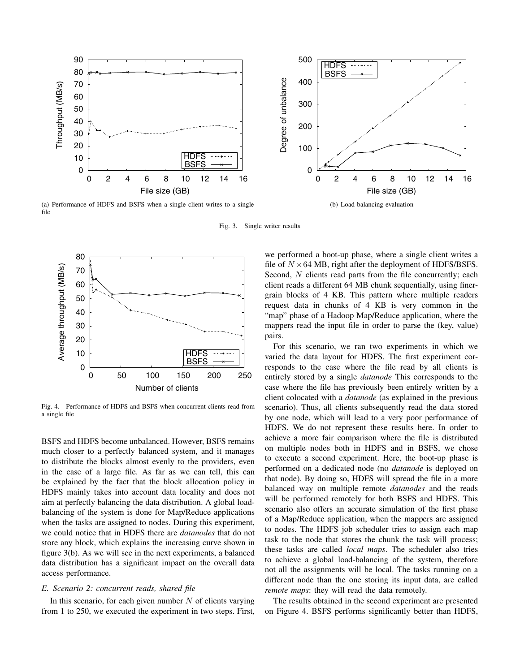

(a) Performance of HDFS and BSFS when a single client writes to a single file

Fig. 3. Single writer results



Fig. 4. Performance of HDFS and BSFS when concurrent clients read from a single file

BSFS and HDFS become unbalanced. However, BSFS remains much closer to a perfectly balanced system, and it manages to distribute the blocks almost evenly to the providers, even in the case of a large file. As far as we can tell, this can be explained by the fact that the block allocation policy in HDFS mainly takes into account data locality and does not aim at perfectly balancing the data distribution. A global loadbalancing of the system is done for Map/Reduce applications when the tasks are assigned to nodes. During this experiment, we could notice that in HDFS there are *datanodes* that do not store any block, which explains the increasing curve shown in figure 3(b). As we will see in the next experiments, a balanced data distribution has a significant impact on the overall data access performance.

#### *E. Scenario 2: concurrent reads, shared file*

In this scenario, for each given number *N* of clients varying from 1 to 250, we executed the experiment in two steps. First,

we performed a boot-up phase, where a single client writes a file of  $N \times 64$  MB, right after the deployment of HDFS/BSFS. Second, *N* clients read parts from the file concurrently; each client reads a different 64 MB chunk sequentially, using finergrain blocks of 4 KB. This pattern where multiple readers request data in chunks of 4 KB is very common in the "map" phase of a Hadoop Map/Reduce application, where the mappers read the input file in order to parse the (key, value) pairs.

For this scenario, we ran two experiments in which we varied the data layout for HDFS. The first experiment corresponds to the case where the file read by all clients is entirely stored by a single *datanode* This corresponds to the case where the file has previously been entirely written by a client colocated with a *datanode* (as explained in the previous scenario). Thus, all clients subsequently read the data stored by one node, which will lead to a very poor performance of HDFS. We do not represent these results here. In order to achieve a more fair comparison where the file is distributed on multiple nodes both in HDFS and in BSFS, we chose to execute a second experiment. Here, the boot-up phase is performed on a dedicated node (no *datanode* is deployed on that node). By doing so, HDFS will spread the file in a more balanced way on multiple remote *datanodes* and the reads will be performed remotely for both BSFS and HDFS. This scenario also offers an accurate simulation of the first phase of a Map/Reduce application, when the mappers are assigned to nodes. The HDFS job scheduler tries to assign each map task to the node that stores the chunk the task will process; these tasks are called *local maps*. The scheduler also tries to achieve a global load-balancing of the system, therefore not all the assignments will be local. The tasks running on a different node than the one storing its input data, are called *remote maps*: they will read the data remotely.

The results obtained in the second experiment are presented on Figure 4. BSFS performs significantly better than HDFS,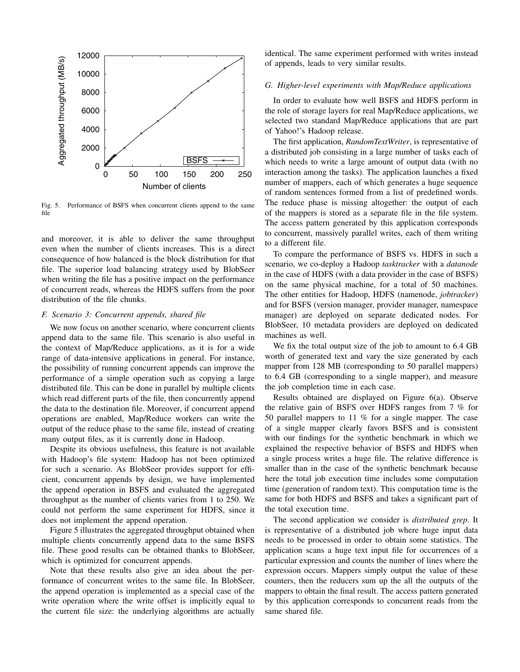

Fig. 5. Performance of BSFS when concurrent clients append to the same file

and moreover, it is able to deliver the same throughput even when the number of clients increases. This is a direct consequence of how balanced is the block distribution for that file. The superior load balancing strategy used by BlobSeer when writing the file has a positive impact on the performance of concurrent reads, whereas the HDFS suffers from the poor distribution of the file chunks.

#### *F. Scenario 3: Concurrent appends, shared file*

We now focus on another scenario, where concurrent clients append data to the same file. This scenario is also useful in the context of Map/Reduce applications, as it is for a wide range of data-intensive applications in general. For instance, the possibility of running concurrent appends can improve the performance of a simple operation such as copying a large distributed file. This can be done in parallel by multiple clients which read different parts of the file, then concurrently append the data to the destination file. Moreover, if concurrent append operations are enabled, Map/Reduce workers can write the output of the reduce phase to the same file, instead of creating many output files, as it is currently done in Hadoop.

Despite its obvious usefulness, this feature is not available with Hadoop's file system: Hadoop has not been optimized for such a scenario. As BlobSeer provides support for efficient, concurrent appends by design, we have implemented the append operation in BSFS and evaluated the aggregated throughput as the number of clients varies from 1 to 250. We could not perform the same experiment for HDFS, since it does not implement the append operation.

Figure 5 illustrates the aggregated throughput obtained when multiple clients concurrently append data to the same BSFS file. These good results can be obtained thanks to BlobSeer, which is optimized for concurrent appends.

Note that these results also give an idea about the performance of concurrent writes to the same file. In BlobSeer, the append operation is implemented as a special case of the write operation where the write offset is implicitly equal to the current file size: the underlying algorithms are actually identical. The same experiment performed with writes instead of appends, leads to very similar results.

#### *G. Higher-level experiments with Map/Reduce applications*

In order to evaluate how well BSFS and HDFS perform in the role of storage layers for real Map/Reduce applications, we selected two standard Map/Reduce applications that are part of Yahoo!'s Hadoop release.

The first application, *RandomTextWriter*, is representative of a distributed job consisting in a large number of tasks each of which needs to write a large amount of output data (with no interaction among the tasks). The application launches a fixed number of mappers, each of which generates a huge sequence of random sentences formed from a list of predefined words. The reduce phase is missing altogether: the output of each of the mappers is stored as a separate file in the file system. The access pattern generated by this application corresponds to concurrent, massively parallel writes, each of them writing to a different file.

To compare the performance of BSFS vs. HDFS in such a scenario, we co-deploy a Hadoop *tasktracker* with a *datanode* in the case of HDFS (with a data provider in the case of BSFS) on the same physical machine, for a total of 50 machines. The other entities for Hadoop, HDFS (namenode, *jobtracker*) and for BSFS (version manager, provider manager, namespace manager) are deployed on separate dedicated nodes. For BlobSeer, 10 metadata providers are deployed on dedicated machines as well.

We fix the total output size of the job to amount to 6.4 GB worth of generated text and vary the size generated by each mapper from 128 MB (corresponding to 50 parallel mappers) to 6.4 GB (corresponding to a single mapper), and measure the job completion time in each case.

Results obtained are displayed on Figure 6(a). Observe the relative gain of BSFS over HDFS ranges from 7 % for 50 parallel mappers to 11 % for a single mapper. The case of a single mapper clearly favors BSFS and is consistent with our findings for the synthetic benchmark in which we explained the respective behavior of BSFS and HDFS when a single process writes a huge file. The relative difference is smaller than in the case of the synthetic benchmark because here the total job execution time includes some computation time (generation of random text). This computation time is the same for both HDFS and BSFS and takes a significant part of the total execution time.

The second application we consider is *distributed grep*. It is representative of a distributed job where huge input data needs to be processed in order to obtain some statistics. The application scans a huge text input file for occurrences of a particular expression and counts the number of lines where the expression occurs. Mappers simply output the value of these counters, then the reducers sum up the all the outputs of the mappers to obtain the final result. The access pattern generated by this application corresponds to concurrent reads from the same shared file.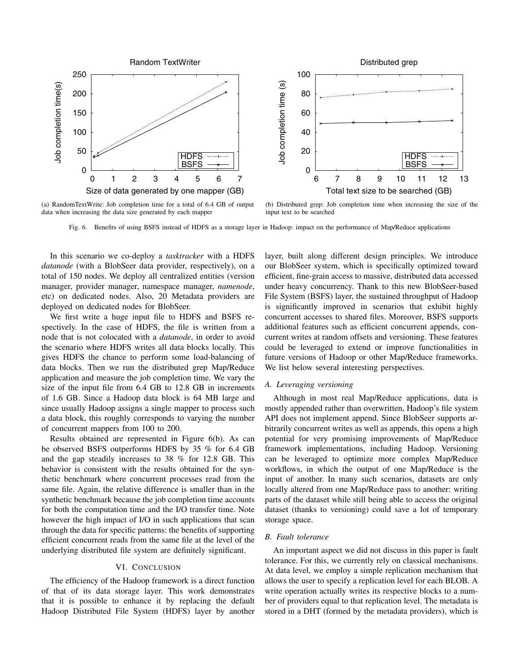

(a) RandomTextWrite: Job completion time for a total of 6.4 GB of output data when increasing the data size generated by each mapper

(b) Distributed grep: Job completion time when increasing the size of the input text to be searched

Fig. 6. Benefits of using BSFS instead of HDFS as a storage layer in Hadoop: impact on the performance of Map/Reduce applications

In this scenario we co-deploy a *tasktracker* with a HDFS *datanode* (with a BlobSeer data provider, respectively), on a total of 150 nodes. We deploy all centralized entities (version manager, provider manager, namespace manager, *namenode*, etc) on dedicated nodes. Also, 20 Metadata providers are deployed on dedicated nodes for BlobSeer.

We first write a huge input file to HDFS and BSFS respectively. In the case of HDFS, the file is written from a node that is not colocated with a *datanode*, in order to avoid the scenario where HDFS writes all data blocks locally. This gives HDFS the chance to perform some load-balancing of data blocks. Then we run the distributed grep Map/Reduce application and measure the job completion time. We vary the size of the input file from 6.4 GB to 12.8 GB in increments of 1.6 GB. Since a Hadoop data block is 64 MB large and since usually Hadoop assigns a single mapper to process such a data block, this roughly corresponds to varying the number of concurrent mappers from 100 to 200.

Results obtained are represented in Figure 6(b). As can be observed BSFS outperforms HDFS by 35 % for 6.4 GB and the gap steadily increases to 38 % for 12.8 GB. This behavior is consistent with the results obtained for the synthetic benchmark where concurrent processes read from the same file. Again, the relative difference is smaller than in the synthetic benchmark because the job completion time accounts for both the computation time and the I/O transfer time. Note however the high impact of I/O in such applications that scan through the data for specific patterns: the benefits of supporting efficient concurrent reads from the same file at the level of the underlying distributed file system are definitely significant.

#### VI. CONCLUSION

The efficiency of the Hadoop framework is a direct function of that of its data storage layer. This work demonstrates that it is possible to enhance it by replacing the default Hadoop Distributed File System (HDFS) layer by another layer, built along different design principles. We introduce our BlobSeer system, which is specifically optimized toward efficient, fine-grain access to massive, distributed data accessed under heavy concurrency. Thank to this new BlobSeer-based File System (BSFS) layer, the sustained throughput of Hadoop is significantly improved in scenarios that exhibit highly concurrent accesses to shared files. Moreover, BSFS supports additional features such as efficient concurrent appends, concurrent writes at random offsets and versioning. These features could be leveraged to extend or improve functionalities in future versions of Hadoop or other Map/Reduce frameworks. We list below several interesting perspectives.

#### *A. Leveraging versioning*

Although in most real Map/Reduce applications, data is mostly appended rather than overwritten, Hadoop's file system API does not implement append. Since BlobSeer supports arbitrarily concurrent writes as well as appends, this opens a high potential for very promising improvements of Map/Reduce framework implementations, including Hadoop. Versioning can be leveraged to optimize more complex Map/Reduce workflows, in which the output of one Map/Reduce is the input of another. In many such scenarios, datasets are only locally altered from one Map/Reduce pass to another: writing parts of the dataset while still being able to access the original dataset (thanks to versioning) could save a lot of temporary storage space.

#### *B. Fault tolerance*

An important aspect we did not discuss in this paper is fault tolerance. For this, we currently rely on classical mechanisms. At data level, we employ a simple replication mechanism that allows the user to specify a replication level for each BLOB. A write operation actually writes its respective blocks to a number of providers equal to that replication level. The metadata is stored in a DHT (formed by the metadata providers), which is